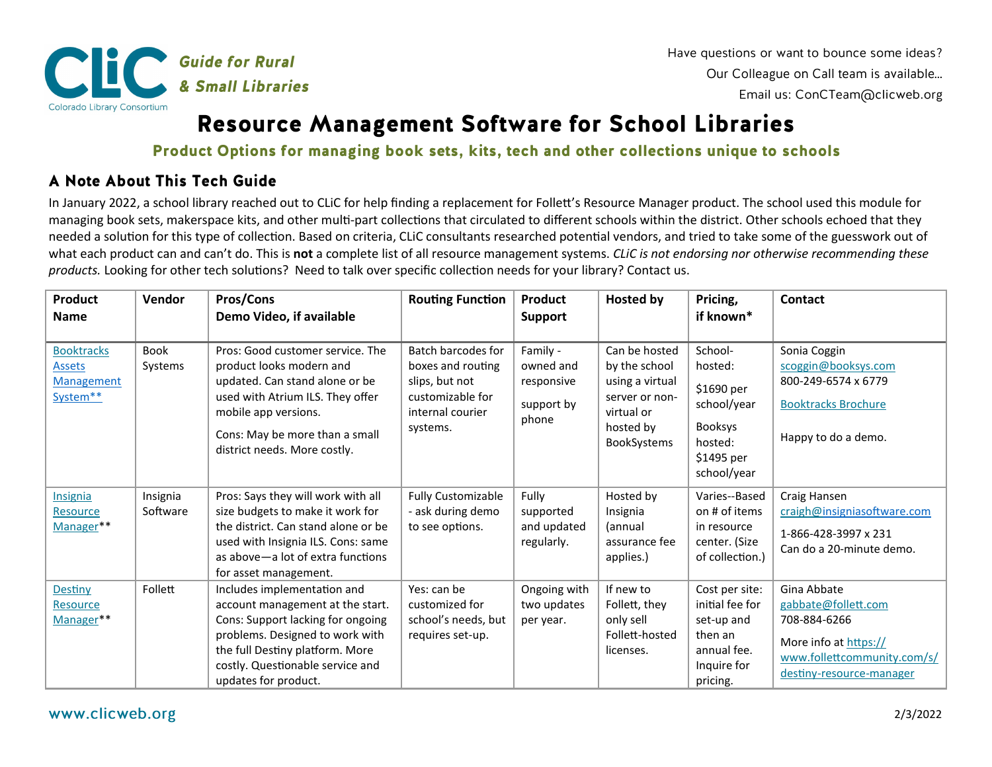

## **Resource Management Software for School Libraries**

Product Options for managing book sets, kits, tech and other collections unique to schools

## A Note About This Tech Guide

In January 2022, a school library reached out to CLiC for help finding a replacement for Follett's Resource Manager product. The school used this module for managing book sets, makerspace kits, and other multi-part collections that circulated to different schools within the district. Other schools echoed that they needed a solution for this type of collection. Based on criteria, CLiC consultants researched potential vendors, and tried to take some of the guesswork out of what each product can and can't do. This is **not** a complete list of all resource management systems. *CLiC is not endorsing nor otherwise recommending these products.* Looking for other tech solutions? Need to talk over specific collection needs for your library? Contact us.

| <b>Product</b>                                                      | Vendor                 | <b>Pros/Cons</b>                                                                                                                                                                                                                       | <b>Routing Function</b>                                                                                              | <b>Product</b>                                             | <b>Hosted by</b>                                                                                              | Pricing,                                                                                                  | Contact                                                                                                                                |
|---------------------------------------------------------------------|------------------------|----------------------------------------------------------------------------------------------------------------------------------------------------------------------------------------------------------------------------------------|----------------------------------------------------------------------------------------------------------------------|------------------------------------------------------------|---------------------------------------------------------------------------------------------------------------|-----------------------------------------------------------------------------------------------------------|----------------------------------------------------------------------------------------------------------------------------------------|
| <b>Name</b>                                                         |                        | Demo Video, if available                                                                                                                                                                                                               |                                                                                                                      | <b>Support</b>                                             |                                                                                                               | if known*                                                                                                 |                                                                                                                                        |
|                                                                     |                        |                                                                                                                                                                                                                                        |                                                                                                                      |                                                            |                                                                                                               |                                                                                                           |                                                                                                                                        |
| <b>Booktracks</b><br><b>Assets</b><br><b>Management</b><br>System** | <b>Book</b><br>Systems | Pros: Good customer service. The<br>product looks modern and<br>updated. Can stand alone or be<br>used with Atrium ILS. They offer<br>mobile app versions.<br>Cons: May be more than a small<br>district needs. More costly.           | <b>Batch barcodes for</b><br>boxes and routing<br>slips, but not<br>customizable for<br>internal courier<br>systems. | Family -<br>owned and<br>responsive<br>support by<br>phone | Can be hosted<br>by the school<br>using a virtual<br>server or non-<br>virtual or<br>hosted by<br>BookSystems | School-<br>hosted:<br>\$1690 per<br>school/year<br><b>Booksys</b><br>hosted:<br>\$1495 per<br>school/year | Sonia Coggin<br>scoggin@booksys.com<br>800-249-6574 x 6779<br><b>Booktracks Brochure</b><br>Happy to do a demo.                        |
| <b>Insignia</b><br><b>Resource</b><br>Manager**                     | Insignia<br>Software   | Pros: Says they will work with all<br>size budgets to make it work for<br>the district. Can stand alone or be<br>used with Insignia ILS. Cons: same<br>as above – a lot of extra functions<br>for asset management.                    | <b>Fully Customizable</b><br>- ask during demo<br>to see options.                                                    | Fully<br>supported<br>and updated<br>regularly.            | Hosted by<br>Insignia<br>(annual<br>assurance fee<br>applies.)                                                | Varies--Based<br>on # of items<br>in resource<br>center. (Size<br>of collection.)                         | Craig Hansen<br>craigh@insigniasoftware.com<br>1-866-428-3997 x 231<br>Can do a 20-minute demo.                                        |
| Destiny<br><b>Resource</b><br>Manager**                             | Follett                | Includes implementation and<br>account management at the start.<br>Cons: Support lacking for ongoing<br>problems. Designed to work with<br>the full Destiny platform. More<br>costly. Questionable service and<br>updates for product. | Yes: can be<br>customized for<br>school's needs, but<br>requires set-up.                                             | Ongoing with<br>two updates<br>per year.                   | If new to<br>Follett, they<br>only sell<br>Follett-hosted<br>licenses.                                        | Cost per site:<br>initial fee for<br>set-up and<br>then an<br>annual fee.<br>Inquire for<br>pricing.      | Gina Abbate<br>gabbate@follett.com<br>708-884-6266<br>More info at https://<br>www.follettcommunity.com/s/<br>destiny-resource-manager |